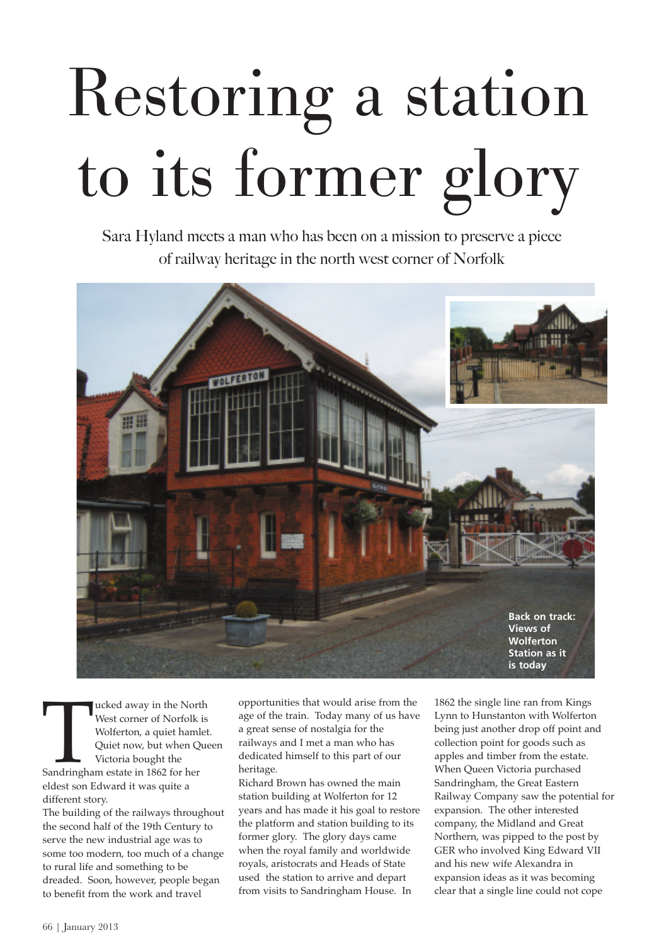## Restoring a station to its former glory

Sara Hyland meets a man who has been on a mission to preserve a piece of railway heritage in the north west corner of Norfolk



Sandringha ucked away in the North West corner of Norfolk is Wolferton, a quiet hamlet. Quiet now, but when Queen Victoria bought the Sandringham estate in 1862 for her eldest son Edward it was quite a different story.

The building of the railways throughout the second half of the 19th Century to serve the new industrial age was to some too modern, too much of a change to rural life and something to be dreaded. Soon, however, people began to benefit from the work and travel

opportunities that would arise from the age of the train. Today many of us have a great sense of nostalgia for the railways and I met a man who has dedicated himself to this part of our heritage.

Richard Brown has owned the main station building at Wolferton for 12 years and has made it his goal to restore the platform and station building to its former glory. The glory days came when the royal family and worldwide royals, aristocrats and Heads of State used the station to arrive and depart from visits to Sandringham House. In

1862 the single line ran from Kings Lynn to Hunstanton with Wolferton being just another drop off point and collection point for goods such as apples and timber from the estate. When Queen Victoria purchased Sandringham, the Great Eastern Railway Company saw the potential for expansion. The other interested company, the Midland and Great Northern, was pipped to the post by GER who involved King Edward VII and his new wife Alexandra in expansion ideas as it was becoming clear that a single line could not cope